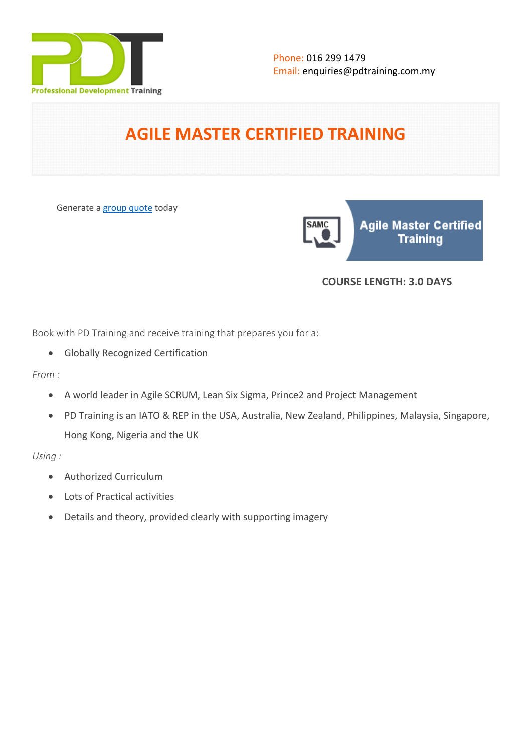

**SAM** 

# **AGILE MASTER CERTIFIED TRAINING**

Generate a [group quote](https://pdtraining.com.my/inhouse-training-quote?cse=SCRUMAEC) today

**Agile Master Certified** Training

### **COURSE LENGTH: 3.0 DAYS**

Book with PD Training and receive training that prepares you for a:

- Globally Recognized Certification
- *From :*
	- A world leader in Agile SCRUM, Lean Six Sigma, Prince2 and Project Management
	- PD Training is an IATO & REP in the USA, Australia, New Zealand, Philippines, Malaysia, Singapore, Hong Kong, Nigeria and the UK

*Using :*

- Authorized Curriculum
- Lots of Practical activities
- Details and theory, provided clearly with supporting imagery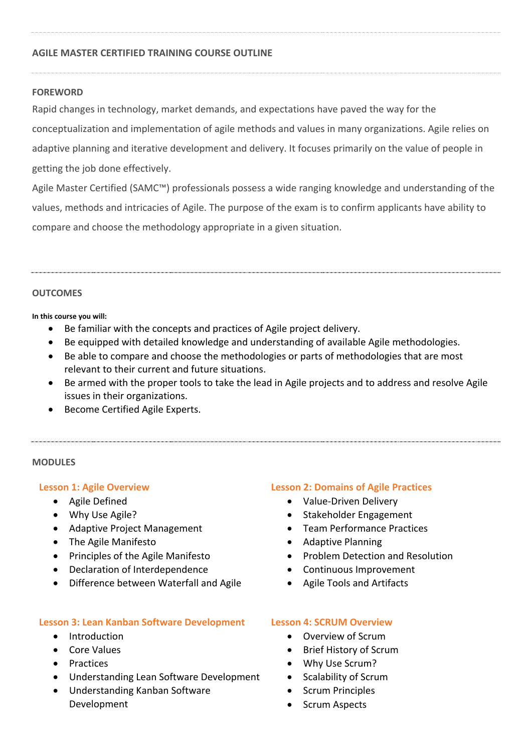#### **AGILE MASTER CERTIFIED TRAINING COURSE OUTLINE**

#### **FOREWORD**

Rapid changes in technology, market demands, and expectations have paved the way for the conceptualization and implementation of agile methods and values in many organizations. Agile relies on adaptive planning and iterative development and delivery. It focuses primarily on the value of people in getting the job done effectively.

Agile Master Certified (SAMC™) professionals possess a wide ranging knowledge and understanding of the values, methods and intricacies of Agile. The purpose of the exam is to confirm applicants have ability to compare and choose the methodology appropriate in a given situation.

#### **OUTCOMES**

**In this course you will:**

- Be familiar with the concepts and practices of Agile project delivery.
- Be equipped with detailed knowledge and understanding of available Agile methodologies.
- Be able to compare and choose the methodologies or parts of methodologies that are most relevant to their current and future situations.
- Be armed with the proper tools to take the lead in Agile projects and to address and resolve Agile issues in their organizations.
- Become Certified Agile Experts.

#### **MODULES**

#### **Lesson 1: Agile Overview**

- Agile Defined
- Why Use Agile?
- Adaptive Project Management
- The Agile Manifesto
- Principles of the Agile Manifesto
- Declaration of Interdependence
- Difference between Waterfall and Agile

#### **Lesson 3: Lean Kanban Software Development**

- Introduction
- Core Values
- Practices
- Understanding Lean Software Development
- Understanding Kanban Software Development

#### **Lesson 2: Domains of Agile Practices**

- Value-Driven Delivery
- Stakeholder Engagement
- Team Performance Practices
- Adaptive Planning
- Problem Detection and Resolution
- Continuous Improvement
- Agile Tools and Artifacts

#### **Lesson 4: SCRUM Overview**

- Overview of Scrum
- Brief History of Scrum
- Why Use Scrum?
- Scalability of Scrum
- Scrum Principles
- Scrum Aspects